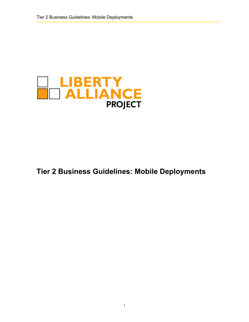

# **Tier 2 Business Guidelines: Mobile Deployments**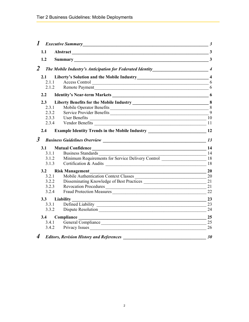|                      | 1 Executive Summary<br><u>1</u> Executive Summary                                  | $\overline{\mathbf{3}}$ |  |
|----------------------|------------------------------------------------------------------------------------|-------------------------|--|
| 1.1                  | Abstract 3                                                                         |                         |  |
| 1.2                  | Summary 3                                                                          |                         |  |
| $\overline{2}$       |                                                                                    |                         |  |
| 2.1                  |                                                                                    |                         |  |
| 2.1.1                | Access Control                                                                     | 6                       |  |
| 2.1.2                |                                                                                    | 6                       |  |
| $2.2^{\circ}$        |                                                                                    |                         |  |
| $2.3^{\circ}$        |                                                                                    |                         |  |
| 2.3.1                |                                                                                    |                         |  |
| 2.3.2                | Service Provider Benefits                                                          | 9                       |  |
| 2.3.3                | $\overline{\phantom{a}}$ 10<br>User Benefits                                       |                         |  |
| 2.3.4                |                                                                                    | 11                      |  |
| 2.4                  | Example Identity Trends in the Mobile Industry _________________________________12 |                         |  |
| $\boldsymbol{\beta}$ |                                                                                    | 13                      |  |
| 3.1                  |                                                                                    |                         |  |
| 3.1.1                | <b>Business Standards</b><br>$\frac{14}{25}$                                       |                         |  |
| 3.1.2                | Minimum Requirements for Service Delivery Control 18                               |                         |  |
| 3.1.3                |                                                                                    |                         |  |
| 3.2                  | <b>Risk Management</b>                                                             | 20                      |  |
| 3.2.1                | Mobile Authentication Context Classes                                              | 20                      |  |
| 3.2.2                |                                                                                    | 21                      |  |
| 3.2.3                | Revocation Procedures                                                              | 21                      |  |
| 3.2.4                | Fraud Protection Measures                                                          | 22                      |  |
| 3.3                  | Liability                                                                          | 23                      |  |
|                      | 3.3.1 Defined Liability                                                            | 23                      |  |
|                      | 3.3.2 Dispute Resolution                                                           | 24                      |  |
|                      | 3.4 Compliance 25                                                                  |                         |  |
|                      | 3.4.1 General Compliance                                                           | 25                      |  |
|                      | 3.4.2 Privacy Issues                                                               | 26                      |  |
| $\boldsymbol{4}$     | <b>Editors, Revision History and References</b>                                    | 30                      |  |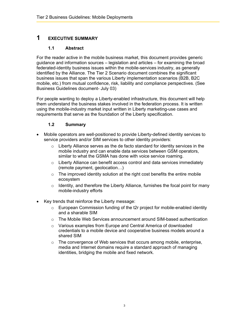# <span id="page-2-0"></span>**1 EXECUTIVE SUMMARY**

#### **1.1 Abstract**

For the reader active in the mobile business market, this document provides generic guidance and information sources – legislation and articles – for examining the broad federated-identity business issues within the mobile-services industry, as generally identified by the Alliance. The Tier 2 Scenario document combines the significant business issues that span the various Liberty implementation scenarios (B2B, B2C mobile, etc.) from mutual confidence, risk, liability and compliance perspectives. (See Business Guidelines document- July 03)

For people wanting to deploy a Liberty-enabled infrastructure, this document will help them understand the business stakes involved in the federation process. It is written using the mobile-industry market input written in Liberty marketing-use cases and requirements that serve as the foundation of the Liberty specification.

#### **1.2 Summary**

- Mobile operators are well-positioned to provide Liberty-defined identity services to service providers and/or SIM services to other identity providers:
	- $\circ$  Liberty Alliance serves as the de facto standard for identity services in the mobile industry and can enable data services between GSM operators, similar to what the GSMA has done with voice service roaming.
	- o Liberty Alliance can benefit access control and data services immediately (remote payment, geolocation…)
	- $\circ$  The improved identity solution at the right cost benefits the entire mobile ecosystem
	- o Identity, and therefore the Liberty Alliance, furnishes the focal point for many mobile-industry efforts
- Key trends that reinforce the Liberty message:
	- $\circ$  European Commission funding of the t2r project for mobile-enabled identity and a sharable SIM
	- o The Mobile Web Services announcement around SIM-based authentication
	- o Various examples from Europe and Central America of downloaded credentials to a mobile device and cooperative business models around a shared SIM
	- o The convergence of Web services that occurs among mobile, enterprise, media and Internet domains require a standard approach of managing identities, bridging the mobile and fixed network.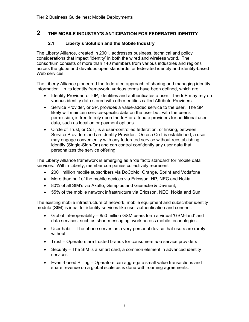## <span id="page-3-0"></span>**2 THE MOBILE INDUSTRY'S ANTICIPATION FOR FEDERATED IDENTITY**

#### **2.1 Liberty's Solution and the Mobile Industry**

The Liberty Alliance, created in 2001, addresses business, technical and policy considerations that impact 'identity' in both the wired and wireless world. The consortium consists of more than 140 members from various industries and regions across the globe and develops open standards for federated identity and identity-based Web services.

The Liberty Alliance pioneered the federated approach of sharing and managing identity information. In its identity framework, various terms have been defined, which are:

- Identity Provider, or IdP, identifies and authenticates a user. The IdP may rely on various identity data stored with other entities called Attribute Providers
- Service Provider, or SP, provides a value-added service to the user. The SP likely will maintain service-specific data on the user but, with the user's permission, is free to rely upon the IdP or attribute providers for additional user data, such as location or payment options
- Circle of Trust, or CoT, is a user-controlled federation, or linking, between Service Providers and an Identity Provider. Once a CoT is established, a user may engage conveniently with any federated service without reestablishing identify (Single-Sign-On) and can control confidently any user data that personalizes the service offering

The Liberty Alliance framework is emerging as a 'de facto standard' for mobile data services. Within Liberty, member companies collectively represent:

- 200+ million mobile subscribers via DoCoMo, Orange, Sprint and Vodafone
- More than half of the mobile devices via Ericsson, HP, NEC and Nokia
- 80% of all SIM's via Axalto, Gemplus and Giesecke & Devrient,
- 55% of the mobile network infrastructure via Ericsson, NEC, Nokia and Sun

The existing mobile infrastructure of network, mobile equipment and subscriber identity module (SIM) is ideal for identity services like user authentication and consent:

- Global Interoperability 850 million GSM users form a virtual 'GSM-land' and data services, such as short messaging, work across mobile technologies.
- User habit The phone serves as a very personal device that users are rarely without
- Trust Operators are trusted brands for consumers *and* service providers
- Security The SIM is a smart card, a common element in advanced identity services
- Event-based Billing Operators can aggregate small value transactions and share revenue on a global scale as is done with roaming agreements.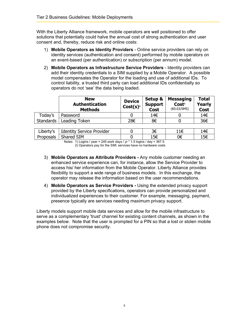With the Liberty Alliance framework, mobile operators are well positioned to offer solutions that potentially could halve the annual cost of strong authentication and user consent and, thereby, reduce risk and online costs:

- 1) **Mobile Operators as Identity Providers** Online service providers can rely on identity services (authentication and consent) performed by mobile operators on an event-based (per authentication) or subscription (per annum) model.
- 2) **Mobile Operators as Infrastructure Service Providers** Identity providers can add their identity credentials to a SIM supplied by a Mobile Operator. A possible model compensates the Operator for the loading and use of additional IDs. To control liability, a trusted third party can load additional IDs confidentially so operators do not 'see' the data being loaded.

|           | <b>New</b><br><b>Authentication</b><br><b>Methods</b> | <b>Device</b><br>Cost(s) <sup>2</sup> | Setup &<br><b>Support</b><br><b>Cost</b> | Messaging<br>Cost <sup>1</sup><br>(60.03/SMS) | Total<br><b>Yearly</b><br><b>Cost</b> |
|-----------|-------------------------------------------------------|---------------------------------------|------------------------------------------|-----------------------------------------------|---------------------------------------|
| Today's   | Password                                              |                                       | 14€                                      |                                               | 14€                                   |
| Standards | Leading Token                                         | 28€                                   | 8€                                       |                                               | 36€                                   |

| Liberty's                                                                                      | <b>Identity Service Provider</b> |  |     | 14€ |
|------------------------------------------------------------------------------------------------|----------------------------------|--|-----|-----|
| Proposals                                                                                      | Shared SIM                       |  | 15€ | 15€ |
| Notes $\frac{11}{2}$ sains lugar = $245$ using doug lug $\frac{1}{2}$ F leging l dou = $227$ F |                                  |  |     |     |

Notes 1) Logins / year = 245 work days / yr  $*$  1.5 logins / day = 367.5 2) Operators pay for the SIM; services have no hardware costs

- 3) **Mobile Operators as Attribute Providers** Any mobile customer needing an enhanced service experience can, for instance, allow the Service Provider to access his/ her information from the Mobile Operator. Liberty Alliance provides flexibility to support a wide range of business models. In this exchange, the operator may release the information based on the user recommendations.
- 4) **Mobile Operators as Service Providers** Using the extended privacy support provided by the Liberty specifications, operators can provide personalized and individualized experiences to their customer. For example, messaging, payment, presence typically are services needing maximum privacy support.

Liberty models support mobile data services and allow for the mobile infrastructure to serve as a complementary 'trust' channel for existing content channels, as shown in the examples below. Note that the user is prompted for a PIN so that a lost or stolen mobile phone does not compromise security.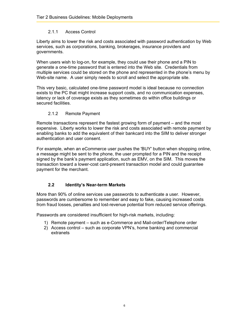#### 2.1.1 Access Control

<span id="page-5-0"></span>Liberty aims to lower the risk and costs associated with password authentication by Web services, such as corporations, banking, brokerages, insurance providers and governments.

When users wish to log-on, for example, they could use their phone and a PIN to generate a one-time password that is entered into the Web site. Credentials from multiple services could be stored on the phone and represented in the phone's menu by Web-site name. A user simply needs to scroll and select the appropriate site.

This very basic, calculated one-time password model is ideal because no connection exists to the PC that might increase support costs, and no communication expenses, latency or lack of coverage exists as they sometimes do within office buildings or secured facilities.

#### 2.1.2 Remote Payment

Remote transactions represent the fastest growing form of payment – and the most expensive. Liberty works to lower the risk and costs associated with remote payment by enabling banks to add the equivalent of their bankcard into the SIM to deliver stronger authentication and user consent.

For example, when an eCommerce user pushes the 'BUY' button when shopping online, a message might be sent to the phone, the user prompted for a PIN and the receipt signed by the bank's payment application, such as EMV, on the SIM. This moves the transaction toward a lower-cost card-present transaction model and could guarantee payment for the merchant.

#### **2.2 Identity's Near-term Markets**

More than 90% of online services use passwords to authenticate a user. However, passwords are cumbersome to remember and easy to fake, causing increased costs from fraud losses, penalties and lost-revenue potential from reduced service offerings.

Passwords are considered insufficient for high-risk markets, including:

- 1) Remote payment such as e-Commerce and Mail-order/Telephone order
- 2) Access control such as corporate VPN's, home banking and commercial extranets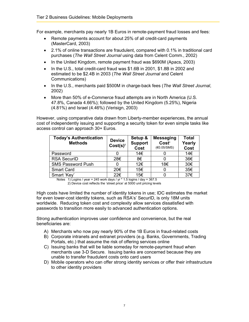For example, merchants pay nearly 1B Euros in remote-payment fraud losses and fees:

- Remote payments account for about 25% of all credit-card payments (MasterCard, 2003)
- 2.1% of online transactions are fraudulent, compared with 0.1% in traditional card purchases (*The Wall Street Journal* using data from Celent Comm., 2002)
- In the United Kingdom, remote payment fraud was \$690M (Apacs, 2003)
- In the U.S., total credit-card fraud was \$1.6B in 2001, \$1.8B in 2002 and estimated to be \$2.4B in 2003 (*The Wall Street Journal* and Celent Communications)
- In the U.S., merchants paid \$500M in charge-back fees (*The Wall Street Journal*, 2002)
- More than 50% of e-Commerce fraud attempts are in North America (U.S. 47.8%, Canada 4.66%); followed by the United Kingdom (5.25%), Nigeria (4.81%) and Israel (4.46%) (Verisign, 2003)

However, using comparative data drawn from Liberty-member experiences, the annual cost of independently issuing and supporting a security token for even simple tasks like access control can approach 30+ Euros.

| <b>Today's Authentication</b><br><b>Methods</b> | <b>Device</b><br>Cost(s) <sup>2</sup> | Setup &<br><b>Support</b><br>Cost | <b>Messaging</b><br>Cost <sup>1</sup><br>(60.05/SMS) | <b>Total</b><br>Yearly<br>Cost |
|-------------------------------------------------|---------------------------------------|-----------------------------------|------------------------------------------------------|--------------------------------|
| Password                                        |                                       | 14€                               |                                                      | 14€                            |
| <b>RSA SecurID</b>                              | 28€                                   | 8€                                |                                                      | 36€                            |
| <b>SMS Password Push</b>                        |                                       | 12€                               | 18€                                                  | 30€                            |
| <b>Smart Card</b>                               | 20€                                   | 15€                               |                                                      | 35€                            |
| Smart 'Key'                                     | 22€                                   | 15€                               |                                                      | 37€                            |

Notes 1) Logins / year = 245 work days / yr  $*$  1.5 logins / day = 367.5 2) Device cost reflects the 'street price' at 5000 unit pricing levels

High costs have limited the number of identity tokens in use; IDC estimates the market for even lower-cost identity tokens, such as RSA's' SecurID, is only 18M units worldwide. Reducing token cost and complexity allow services dissatisfied with passwords to transition more easily to advanced authentication options.

Strong authentication improves user confidence and convenience, but the real beneficiaries are:

- A) Merchants who now pay nearly 90% of the 1B Euros in fraud-related costs
- B) Corporate intranets and extranet providers (e.g. Banks, Governments, Trading Portals, etc.) that assume the risk of offering services online
- C) Issuing banks that will be liable someday for remote-payment fraud when merchants use 3-D Secure. Issuing banks are concerned because they are unable to transfer fraudulent costs onto card users
- D) Mobile operators who can offer strong identity services or offer their infrastructure to other identity providers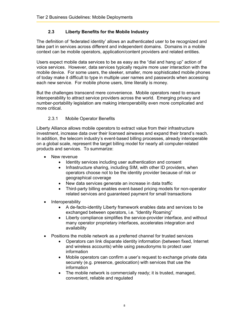#### **2.3 Liberty Benefits for the Mobile Industry**

<span id="page-7-0"></span>The definition of 'federated identity' allows an authenticated user to be recognized and take part in services across different and independent domains. Domains in a mobile context can be mobile operators, application/content providers and related entities.

Users expect mobile data services to be as easy as the "dial and hang up" action of voice services. However, data services typically require more user interaction with the mobile device. For some users, the sleeker, smaller, more sophisticated mobile phones of today make it difficult to type in multiple user names and passwords when accessing each new service. For mobile phone users, time literally is money.

But the challenges transcend mere convenience. Mobile operators need to ensure interoperability to attract service providers across the world. Emerging privacy and number-portability legislation are making interoperability even more complicated and more critical.

#### 2.3.1 Mobile Operator Benefits

Liberty Alliance allows mobile operators to extract value from their infrastructure investment, increase data over their licensed airwaves and expand their brand's reach. In addition, the telecom industry's event-based billing processes, already interoperable on a global scale, represent the target billing model for nearly all computer-related products and services. To summarize:

- New revenue
	- Identity services including user authentication and consent
	- Infrastructure sharing, including SIM, with other ID providers, when operators choose not to be the identity provider because of risk or geographical coverage
	- New data services generate an increase in data traffic
	- Third-party billing enables event-based pricing models for non-operator related services and guaranteed payment for small transactions
- Interoperability
	- A de-facto-identity Liberty framework enables data and services to be exchanged between operators, i.e. "Identity Roaming"
	- Liberty compliance simplifies the service-provider interface, and without many operator proprietary interfaces, accelerates integration and availability
- Positions the mobile network as a preferred channel for trusted services
	- Operators can link disparate identity information (between fixed, Internet and wireless accounts) while using pseudonyms to protect user information
	- Mobile operators can confirm a user's request to exchange private data securely (e.g. presence, geolocation) with services that use the information
	- The mobile network is commercially ready; it is trusted, managed, convenient, reliable and regulated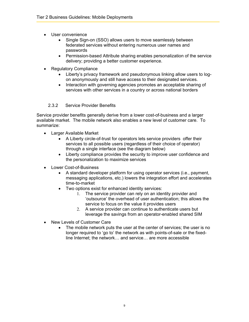- <span id="page-8-0"></span>• User convenience
	- Single Sign-on (SSO) allows users to move seamlessly between federated services without entering numerous user names and passwords
	- Permission-based Attribute sharing enables personalization of the service delivery; providing a better customer experience.
- Regulatory Compliance
	- Liberty's privacy framework and pseudonymous linking allow users to logon anonymously and still have access to their designated services.
	- Interaction with governing agencies promotes an acceptable sharing of services with other services in a country or across national borders
	- 2.3.2 Service Provider Benefits

Service provider benefits generally derive from a lower cost-of-business and a larger available market. The mobile network also enables a new level of customer care. To summarize:

- Larger Available Market
	- A Liberty circle-of-trust for operators lets service providers offer their services to all possible users (regardless of their choice of operator) through a single interface (see the diagram below)
	- Liberty compliance provides the security to improve user confidence and the personalization to maximize services
- Lower Cost-of-Business
	- A standard developer platform for using operator services (i.e., payment, messaging applications, etc.) lowers the integration effort and accelerates time-to-market
	- Two options exist for enhanced identity services:
		- 1. The service provider can rely on an identity provider and 'outsource' the overhead of user authentication; this allows the service to focus on the value it provides users
		- 2. A service provider can continue to authenticate users but leverage the savings from an operator-enabled shared SIM
- New Levels of Customer Care
	- The mobile network puts the user at the center of services; the user is no longer required to 'go to' the network as with points-of-sale or the fixedline Internet; the network… and service… are more accessible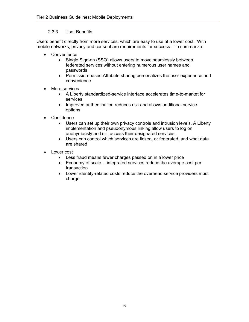#### 2.3.3 User Benefits

<span id="page-9-0"></span>Users benefit directly from more services, which are easy to use at a lower cost. With mobile networks, privacy and consent are requirements for success. To summarize:

- Convenience
	- Single Sign-on (SSO) allows users to move seamlessly between federated services without entering numerous user names and passwords
	- Permission-based Attribute sharing personalizes the user experience and convenience
- More services
	- A Liberty standardized-service interface accelerates time-to-market for services
	- Improved authentication reduces risk and allows additional service options
- Confidence
	- Users can set up their own privacy controls and intrusion levels. A Liberty implementation and pseudonymous linking allow users to log on anonymously and still access their designated services.
	- Users can control which services are linked, or federated, and what data are shared
- Lower cost
	- Less fraud means fewer charges passed on in a lower price
	- Economy of scale… integrated services reduce the average cost per transaction
	- Lower identity-related costs reduce the overhead service providers must charge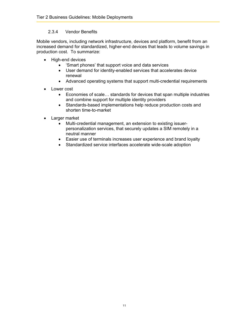#### 2.3.4 Vendor Benefits

<span id="page-10-0"></span>Mobile vendors, including network infrastructure, devices and platform, benefit from an increased demand for standardized, higher-end devices that leads to volume savings in production cost. To summarize:

- High-end devices
	- 'Smart phones' that support voice and data services
	- User demand for identity-enabled services that accelerates device renewal
	- Advanced operating systems that support multi-credential requirements
- Lower cost
	- Economies of scale… standards for devices that span multiple industries and combine support for multiple identity providers
	- Standards-based implementations help reduce production costs and shorten time-to-market
- Larger market
	- Multi-credential management, an extension to existing issuerpersonalization services, that securely updates a SIM remotely in a neutral manner
	- Easier use of terminals increases user experience and brand loyalty
	- Standardized service interfaces accelerate wide-scale adoption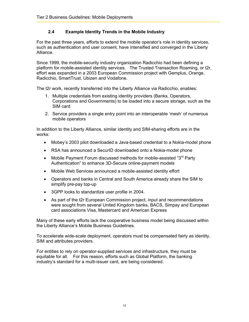#### **2.4 Example Identity Trends in the Mobile Industry**

<span id="page-11-0"></span>For the past three years, efforts to extend the mobile operator's role in identity services, such as authentication and user consent, have intensified and converged in the Liberty Alliance.

Since 1999, the mobile-security industry organization Radicchio had been defining a platform for mobile-assisted identity services. The Trusted Transaction Roaming, or t2r, effort was expanded in a 2003 European Commission project with Gemplus, Orange, Radicchio, SmartTrust, Ubizen and Vodafone.

The t2r work, recently transferred into the Liberty Alliance via Radicchio, enables:

- 1. Multiple credentials from existing identity providers (Banks, Operators, Corporations and Governments) to be loaded into a secure storage, such as the SIM card
- 2. Service providers a single entry point into an interoperable 'mesh' of numerous mobile operators

In addition to the Liberty Alliance, similar identity and SIM-sharing efforts are in the works:

- Mobey's 2003 pilot downloaded a Java-based credential to a Nokia-model phone
- RSA has announced a SecurID downloaded onto a Nokia-model phone
- Mobile Payment Forum discussed methods for mobile-assisted " $3<sup>rd</sup>$  Party Authentication" to enhance 3D-Secure online-payment models
- Mobile Web Services announced a mobile-assisted identity effort
- Operators and banks in Central and South America already share the SIM to simplify pre-pay top-up
- 3GPP looks to standardize user profile in 2004.
- As part of the t2r European Commission project, input and recommendations were sought from several United Kingdom banks, BACS, Simpay and European card associations Visa, Mastercard and American Express

Many of these early efforts lack the cooperative business model being discussed within the Liberty Alliance's Mobile Business Guidelines.

To accelerate wide-scale deployment, operators must be compensated fairly as identity, SIM and attributes providers.

For entities to rely on operator-supplied services and infrastructure, they must be equitable for all. For this reason, efforts such as Global Platform, the banking industry's standard for a multi-issuer card, are being considered.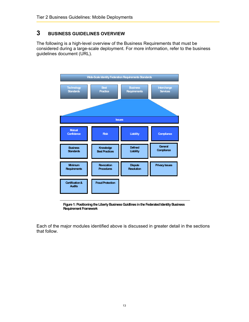# <span id="page-12-0"></span>**3 BUSINESS GUIDELINES OVERVIEW**

The following is a high-level overview of the Business Requirements that must be considered during a large-scale deployment. For more information, refer to the business guidelines document (URL).



**Figure 1: Positioning the Liberty Business Guidlines inthe Federated Identity Business Requirement Framework**

Each of the major modules identified above is discussed in greater detail in the sections that follow.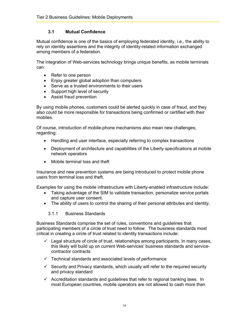#### **3.1 Mutual Confidence**

<span id="page-13-0"></span>Mutual confidence is one of the basics of employing federated identity, i.e., the ability to rely on identity assertions and the integrity of identity-related information exchanged among members of a federation.

The integration of Web-services technology brings unique benefits, as mobile terminals can:

- Refer to one person
- Enjoy greater global adoption than computers
- Serve as a trusted environments to their users
- Support high level of security
- Assist fraud prevention

By using mobile phones, customers could be alerted quickly in case of fraud, and they also could be more responsible for transactions being confirmed or certified with their mobiles.

Of course, introduction of mobile-phone mechanisms also mean new challenges, regarding:

- Handling and user interface, especially referring to complex transactions
- Deployment of architecture and capabilities of the Liberty specifications at mobile network operators
- Mobile terminal loss and theft

Insurance and new prevention systems are being introduced to protect mobile phone users from terminal loss and theft.

Examples for using the mobile infrastructure with Liberty-enabled infrastructure include:

- Taking advantage of the SIM to validate transaction, personalize service portals and capture user consent.
- The ability of users to control the sharing of their personal attributes and identity.
	- 3.1.1 Business Standards

Business Standards comprise the set of rules, conventions and guidelines that participating members of a circle of trust need to follow. The business standards most critical in creating a circle of trust related to identity transactions include:

- $\checkmark$  Legal structure of circle of trust, relationships among participants. In many cases, this likely will build up on current Web-services' business standards and servicecontractor contracts
- $\checkmark$  Technical standards and associated levels of performance
- $\checkmark$  Security and Privacy standards, which usually will refer to the required security and privacy standard
- $\checkmark$  Accreditation standards and guidelines that refer to regional banking laws. In most European countries, mobile operators are not allowed to cash more than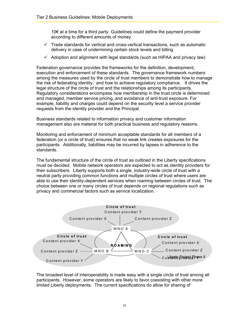10€ at a time for a third party. Guidelines could define the payment provider according to different amounts of money

- $\checkmark$  Trade standards for vertical and cross-vertical transactions, such as automatic delivery in case of undermining certain stock levels and billing
- $\checkmark$  Adoption and alignment with legal standards (such as HIPAA and privacy law)

Federation governance provides the frameworks for the definition, development, execution and enforcement of these standards. The governance framework numbers among the measures used by the circle of trust members to demonstrate how to manage the risk of federating identity, and how to achieve regulatory compliance. It drives the legal structure of the circle of trust and the relationships among its participants. Regulatory considerations encompass how membership in the trust circle is determined and managed, member service pricing, and avoidance of anti-trust exposure. For example, liability and charges could depend on the security level a service provider requests from the identity provider and the Principal.

Business standards related to information privacy and customer information management also are material for both practical business and regulatory reasons.

Monitoring and enforcement of minimum acceptable standards for all members of a federation (or a circle of trust) ensures that no weak link creates exposures for the participants. Additionally, liabilities may be incurred by lapses in adherence to the standards.

The fundamental structure of the circle of trust as outlined in the Liberty specifications must be decided. Mobile network operators are expected to act as identity providers for their subscribers. Liberty supports both a single, industry-wide circle of trust with a neutral party providing common functions and multiple circles of trust where users are able to use their identity-dependent services when roaming between circles of trust. The choice between one or many circles of trust depends on regional regulations such as privacy and commercial factors such as service localization.



The broadest level of interoperability is made easy with a single circle of trust among all participants. However, some operators are likely to favor coexisting with other more limited Liberty deployments. The current specifications do allow for sharing of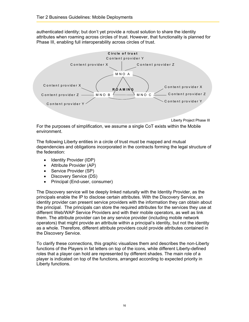authenticated identity; but don't yet provide a robust solution to share the identity attributes when roaming across circles of trust. However, that functionality is planned for Phase III, enabling full interoperability across circles of trust.



For the purposes of simplification, we assume a single CoT exists within the Mobile environment.

The following Liberty entities in a circle of trust must be mapped and mutual dependencies and obligations incorporated in the contracts forming the legal structure of the federation:

- Identity Provider (IDP)
- Attribute Provider (AP)
- Service Provider (SP)
- Discovery Service (DS)
- Principal (End-user, consumer)

The Discovery service will be deeply linked naturally with the Identity Provider, as the principals enable the IP to disclose certain attributes. With the Discovery Service, an identity provider can present service providers with the information they can obtain about the principal. The principals can store the required attributes for the services they use at different Web/WAP Service Providers and with their mobile operators, as well as link them. The attribute provider can be any service provider (including mobile network operators) that might provide an attribute within a principal's identity, but not the identity as a whole. Therefore, different attribute providers could provide attributes contained in the Discovery Service.

To clarify these connections, this graphic visualizes them and describes the non-Liberty functions of the Players in fat letters on top of the icons, while different Liberty-defined roles that a player can hold are represented by different shades. The main role of a player is indicated on top of the functions, arranged according to expected priority in Liberty functions.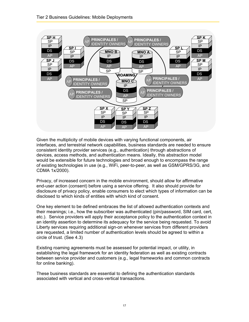

Given the multiplicity of mobile devices with varying functional components, air interfaces, and terrestrial network capabilities, business standards are needed to ensure consistent identity provider services (e.g., authentication) through abstractions of devices, access methods, and authentication means. Ideally, this abstraction model would be extensible for future technologies and broad enough to encompass the range of existing technologies in use (e.g., WiFi, peer-to-peer, as well as GSM/GPRS/3G, and CDMA 1x/2000).

Privacy, of increased concern in the mobile environment, should allow for affirmative end-user action (consent) before using a service offering. It also should provide for disclosure of privacy policy, enable consumers to elect which types of information can be disclosed to which kinds of entities with which kind of consent.

One key element to be defined embraces the list of allowed authentication contexts and their meanings; i.e., how the subscriber was authenticated (pin/password, SIM card, cert, etc.). Service providers will apply their acceptance policy to the authentication context in an identity assertion to determine its adequacy for the service being requested. To avoid Liberty services requiring additional sign-on whenever services from different providers are requested, a limited number of authentication levels should be agreed to within a circle of trust. (See 4.3)

Existing roaming agreements must be assessed for potential impact, or utility, in establishing the legal framework for an identity federation as well as existing contracts between service provider and customers (e.g., legal frameworks and common contracts for online banking).

These business standards are essential to defining the authentication standards associated with vertical and cross-vertical transactions.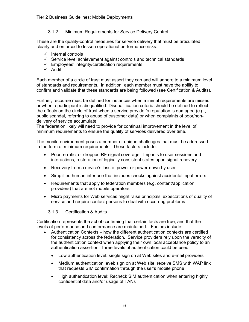#### 3.1.2 Minimum Requirements for Service Delivery Control

<span id="page-17-0"></span>These are the quality-control measures for service delivery that must be articulated clearly and enforced to lessen operational performance risks:

- $\checkmark$  Internal controls
- $\checkmark$  Service level achievement against controls and technical standards
- $\checkmark$  Employees' integrity/certification requirements
- $\checkmark$  Audit

Each member of a circle of trust must assert they can and will adhere to a minimum level of standards and requirements. In addition, each member must have the ability to confirm and validate that these standards are being followed (see Certification & Audits).

Further, recourse must be defined for instances when minimal requirements are missed or when a participant is disqualified. Disqualification criteria should be defined to reflect the effects on the circle of trust when a service provider's reputation is damaged (e.g., public scandal, referring to abuse of customer data) or when complaints of poor/nondelivery of service accumulate.

The federation likely will need to provide for continual improvement in the level of minimum requirements to ensure the quality of services delivered over time.

The mobile environment poses a number of unique challenges that must be addressed in the form of minimum requirements. These factors include:

- Poor, erratic, or dropped RF signal coverage. Impacts to user sessions and interactions, restoration of logically consistent states upon signal recovery
- Recovery from a device's loss of power or power-down by user
- Simplified human interface that includes checks against accidental input errors
- Requirements that apply to federation members (e.g. content/application providers) that are not mobile operators
- Micro payments for Web services might raise principals' expectations of quality of service and require contact persons to deal with occurring problems

#### 3.1.3 Certification & Audits

Certification represents the act of confirming that certain facts are true, and that the levels of performance and conformance are maintained. Factors include:

- Authentication Contexts how the different authentication contexts are certified for consistency across the federation. Service providers rely upon the veracity of the authentication context when applying their own local acceptance policy to an authentication assertion. Three levels of authentication could be used:
	- Low authentication level: single sign on at Web sites and e-mail providers
	- Medium authentication level: sign on at Web site, receive SMS with WAP link that requests SIM confirmation through the user's mobile phone
	- High authentication level: Recheck SIM authentication when entering highly confidential data and/or usage of TANs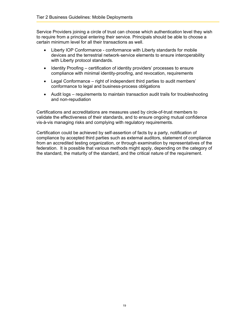Service Providers joining a circle of trust can choose which authentication level they wish to require from a principal entering their service. Principals should be able to choose a certain minimum level for all their transactions as well.

- Liberty IOP Conformance conformance with Liberty standards for mobile devices and the terrestrial network-service elements to ensure interoperability with Liberty protocol standards.
- Identity Proofing certification of identity providers' processes to ensure compliance with minimal identity-proofing, and revocation, requirements
- Legal Conformance right of independent third parties to audit members' conformance to legal and business-process obligations
- Audit logs requirements to maintain transaction audit trails for troubleshooting and non-repudiation

Certifications and accreditations are measures used by circle-of-trust members to validate the effectiveness of their standards, and to ensure ongoing mutual confidence vis-à-vis managing risks and complying with regulatory requirements.

Certification could be achieved by self-assertion of facts by a party, notification of compliance by accepted third parties such as external auditors, statement of compliance from an accredited testing organization, or through examination by representatives of the federation. It is possible that various methods might apply, depending on the category of the standard, the maturity of the standard, and the critical nature of the requirement.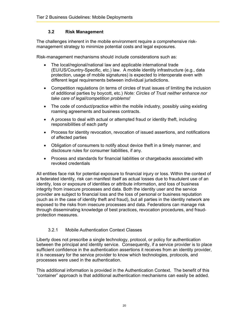#### **3.2 Risk Management**

<span id="page-19-0"></span>The challenges inherent in the mobile environment require a comprehensive riskmanagement strategy to minimize potential costs and legal exposures.

Risk-management mechanisms should include considerations such as:

- The local/regional/national law and applicable international trade (EU/US/Country-Specific, etc.) law. A mobile identity infrastructure (e.g., data protection, usage of mobile signatures) is expected to interoperate even with different legal requirements between individual jurisdictions.
- Competition regulations (in terms of circles of trust issues of limiting the inclusion of additional parties by boycott, etc.) *Note: Circles of Trust neither enhance nor take care of legal/competition problems!*
- The code of conduct/practice within the mobile industry, possibly using existing roaming agreements and business contracts.
- A process to deal with actual or attempted fraud or identity theft, including responsibilities of each party
- Process for identity revocation, revocation of issued assertions, and notifications of affected parties
- Obligation of consumers to notify about device theft in a timely manner, and disclosure rules for consumer liabilities, if any.
- Process and standards for financial liabilities or chargebacks associated with revoked credentials

All entities face risk for potential exposure to financial injury or loss. Within the context of a federated identity, risk can manifest itself as actual losses due to fraudulent use of an identity, loss or exposure of identities or attribute information, and loss of business integrity from insecure processes and data. Both the identity user and the service provider are subject to financial loss and the loss of personal or business reputation (such as in the case of identity theft and fraud), but all parties in the identity network are exposed to the risks from insecure processes and data. Federations can manage risk through disseminating knowledge of best practices, revocation procedures, and fraudprotection measures.

#### 3.2.1 Mobile Authentication Context Classes

Liberty does not prescribe a single technology, protocol, or policy for authentication between the principal and identity service. Consequently, if a service provider is to place sufficient confidence in the authentication assertions it receives from an identity provider, it is necessary for the service provider to know which technologies, protocols, and processes were used in the authentication.

This additional information is provided in the Authentication Context. The benefit of this "container" approach is that additional authentication mechanisms can easily be added.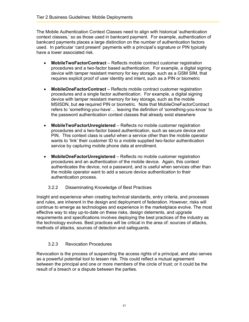<span id="page-20-0"></span>The Mobile Authentication Context Classes need to align with historical 'authentication context classes,' so as those used in bankcard payment. For example, authentication of bankcard payments places a large distinction on the number of authentication factors used. In particular 'card present' payments with a principal's signature or PIN typically have a lower associated risk.

- **MobileTwoFactorContract**  Reflects mobile contract customer registration procedures and a two-factor based authentication. For example, a digital signing device with tamper resistant memory for key storage, such as a GSM SIM, that requires explicit proof of user identity and intent, such as a PIN or biometric
- **MobileOneFactorContract** Reflects mobile contract customer registration procedures and a single factor authentication. For example, a digital signing device with tamper resistant memory for key storage, such as the mobile MSISDN, but *no* required PIN or biometric. Note that MobileOneFactorContract refers to 'something-you-have'… leaving the definition of 'something-you-know' to the password authentication context classes that already exist elsewhere
- **MobileTwoFactorUnregistered** Reflects no mobile customer registration procedures and a two-factor based authentication, such as secure device and PIN. This context class is useful when a service other than the mobile operator wants to 'link' their customer ID to a mobile supplied two-factor authentication service by capturing mobile phone data at enrollment.
- **MobileOneFactorUnregistered** Reflects no mobile customer registration procedures and an authentication of the mobile device. Again, this context authenticates the device, not a password, and is useful when services other than the mobile operator want to add a secure device authentication to their authentication process.

#### 3.2.2 Disseminating Knowledge of Best Practices

Insight and experience when creating technical standards, entry criteria, and processes and rules, are inherent in the design and deployment of federation. However, risks will continue to emerge as technologies and experience in the marketplace evolve. The most effective way to stay up-to-date on these risks, design deterrents, and upgrade requirements and specifications involves deploying the best practices of the industry as the technology evolves. Best practices will be critical in the area of: sources of attacks, methods of attacks, sources of detection and safeguards.

### 3.2.3 Revocation Procedures

Revocation is the process of suspending the access rights of a principal, and also serves as a powerful potential tool to lessen risk. This could reflect a mutual agreement between the principal and one or more members of the circle of trust; or it could be the result of a breach or a dispute between the parties.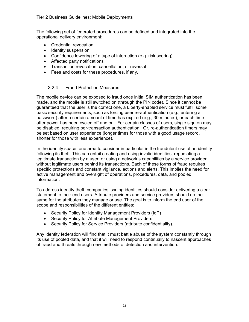<span id="page-21-0"></span>The following set of federated procedures can be defined and integrated into the operational delivery environment:

- Credential revocation
- Identity suspension
- Confidence lowering of a type of interaction (e.g. risk scoring)
- Affected party notifications
- Transaction revocation, cancellation, or reversal
- Fees and costs for these procedures, if any.

#### 3.2.4 Fraud Protection Measures

The mobile device can be exposed to fraud once initial SIM authentication has been made, and the mobile is still switched on (through the PIN code). Since it cannot be guaranteed that the user is the correct one, a Liberty-enabled service must fulfill some basic security requirements, such as forcing user re-authentication (e.g., entering a password) after a certain amount of time has expired (e.g., 30 minutes), or each time after power has been cycled off and on. For certain classes of users, single sign on may be disabled, requiring per-transaction authentication. Or, re-authentication timers may be set based on user experience (longer times for those with a good usage record, shorter for those with less experience).

In the identity space, one area to consider in particular is the fraudulent use of an identity following its theft. This can entail creating and using invalid identities, repudiating a legitimate transaction by a user, or using a network's capabilities by a service provider without legitimate users behind its transactions. Each of these forms of fraud requires specific protections and constant vigilance, actions and alerts. This implies the need for active management and oversight of operations, procedures, data, and pooled information.

To address identity theft, companies issuing identities should consider delivering a clear statement to their end users. Attribute providers and service providers should do the same for the attributes they manage or use. The goal is to inform the end user of the scope and responsibilities of the different entities:

- Security Policy for Identity Management Providers (IdP)
- Security Policy for Attribute Management Providers
- Security Policy for Service Providers (attribute confidentiality).

Any identity federation will find that it must battle abuse of the system constantly through its use of pooled data, and that it will need to respond continually to nascent approaches of fraud and threats through new methods of detection and intervention.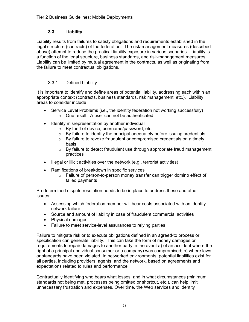#### **3.3 Liability**

<span id="page-22-0"></span>Liability results from failures to satisfy obligations and requirements established in the legal structure (contracts) of the federation. The risk-management measures (described above) attempt to reduce the practical liability exposure in various scenarios. Liability is a function of the legal structure, business standards, and risk-management measures. Liability can be limited by mutual agreement in the contracts, as well as originating from the failure to meet contractual obligations.

#### 3.3.1 Defined Liability

It is important to identify and define areas of potential liability, addressing each within an appropriate context (contracts, business standards, risk management, etc.). Liability areas to consider include

- Service Level Problems (i.e., the identity federation not working successfully) o One result: A user can not be authenticated
- Identity misrepresentation by another individual
	- o By theft of device, username/password, etc.
	- $\circ$  By failure to identity the principal adequately before issuing credentials
	- o By failure to revoke fraudulent or compromised credentials on a timely basis
	- $\circ$  By failure to detect fraudulent use through appropriate fraud management practices
- Illegal or illicit activities over the network (e.g., terrorist activities)
- Ramifications of breakdown in specific services
	- o Failure of person-to-person money transfer can trigger domino effect of failed payments

Predetermined dispute resolution needs to be in place to address these and other issues:

- Assessing which federation member will bear costs associated with an identity network failure
- Source and amount of liability in case of fraudulent commercial activities
- Physical damages
- Failure to meet service-level assurances to relying parties

Failure to mitigate risk or to execute obligations defined in an agreed-to process or specification can generate liability. This can take the form of money damages or requirements to repair damages to another party in the event a) of an accident where the right of a principal (individual consumer or a company) was compromised; b) where laws or standards have been violated. In networked environments, potential liabilities exist for all parties, including providers, agents, and the network, based on agreements and expectations related to rules and performance.

Contractually identifying who bears what losses, and in what circumstances (minimum standards not being met, processes being omitted or shortcut, etc.), can help limit unnecessary frustration and expenses. Over time, the Web services and identity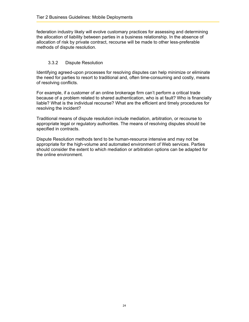<span id="page-23-0"></span>federation industry likely will evolve customary practices for assessing and determining the allocation of liability between parties in a business relationship. In the absence of allocation of risk by private contract, recourse will be made to other less-preferable methods of dispute resolution.

#### 3.3.2 Dispute Resolution

Identifying agreed-upon processes for resolving disputes can help minimize or eliminate the need for parties to resort to traditional and, often time-consuming and costly, means of resolving conflicts.

For example, if a customer of an online brokerage firm can't perform a critical trade because of a problem related to shared authentication, who is at fault? Who is financially liable? What is the individual recourse? What are the efficient and timely procedures for resolving the incident?

Traditional means of dispute resolution include mediation, arbitration, or recourse to appropriate legal or regulatory authorities. The means of resolving disputes should be specified in contracts.

Dispute Resolution methods tend to be human-resource intensive and may not be appropriate for the high-volume and automated environment of Web services. Parties should consider the extent to which mediation or arbitration options can be adapted for the online environment.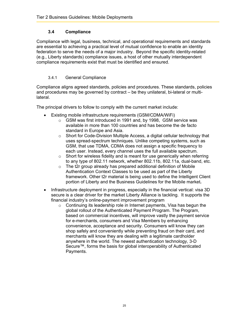#### **3.4 Compliance**

<span id="page-24-0"></span>Compliance with legal, business, technical, and operational requirements and standards are essential to achieving a practical level of mutual confidence to enable an identity federation to serve the needs of a major industry. Beyond the specific identity-related (e.g., Liberty standards) compliance issues, a host of other mutually interdependent compliance requirements exist that must be identified and ensured.

#### 3.4.1 General Compliance

Compliance aligns agreed standards, policies and procedures. These standards, policies and procedures may be governed by contract – be they unilateral, bi-lateral or multilateral.

The principal drivers to follow to comply with the current market include:

- Existing mobile infrastructure requirements (GSM/CDMA/WiFi)
	- o GSM was first introduced in 1991 and, by 1998, GSM service was available in more than 100 countries and has become the de facto standard in Europe and Asia.
	- o Short for Code-Division Multiple Access, a digital cellular technology that uses spread-spectrum techniques. Unlike competing systems, such as GSM, that use TDMA, CDMA does not assign a specific frequency to each user. Instead, every channel uses the full available spectrum.
	- $\circ$  Short for wireless fidelity and is meant for use generically when referring to any type of 802.11 network, whether 802.11b, 802.11a, dual-band, etc.
	- $\circ$  The t2r group already has prepared additional definition of Mobile Authentication Context Classes to be used as part of the Liberty framework. Other t2r material is being used to define the Intelligent Client portion of Liberty and the Business Guidelines for the Mobile market**.**
- Infrastructure deployment in progress, especially in the financial vertical: visa 3D secure is a clear driver for the market Liberty Alliance is tackling. It supports the financial industry's online-payment improvement program
	- $\circ$  Continuing its leadership role in Internet payments, Visa has begun the global rollout of the Authenticated Payment Program. The Program, based on commercial incentives, will improve vastly the payment service for e-merchants, consumers and Visa Members by enhancing convenience, acceptance and security. Consumers will know they can shop safely and conveniently while preventing fraud on their card, and merchants will know they are dealing with a legitimate cardholder anywhere in the world. The newest authentication technology, 3-D Secure™, forms the basis for global interoperability of Authenticated Payments.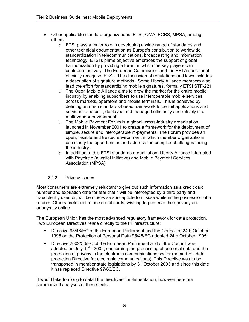- <span id="page-25-0"></span>• Other applicable standard organizations: ETSI, OMA, ECBS, MPSA, among others
	- o ETSI plays a major role in developing a wide range of standards and other technical documentation as Europe's contribution to worldwide standardization in telecommunications, broadcasting and information technology. ETSI's prime objective embraces the support of global harmonization by providing a forum in which the key players can contribute actively. The European Commission and the EFTA secretariat officially recognize ETSI. The discussion of regulations and laws includes a description of signature methods. Some Liberty Alliance members also lead the effort for standardizing mobile signatures, formally ETSI STF-221
	- $\circ$  The Open Mobile Alliance aims to grow the market for the entire mobile industry by enabling subscribers to use interoperable mobile services across markets, operators and mobile terminals. This is achieved by defining an open standards-based framework to permit applications and services to be built, deployed and managed efficiently and reliably in a multi-vendor environment.
	- o The Mobile Payment Forum is a global, cross-industry organization launched in November 2001 to create a framework for the deployment of simple, secure and interoperable m-payments. The Forum provides an open, flexible and trusted environment in which member organizations can clarify the opportunities and address the complex challenges facing the industry.
	- $\circ$  In addition to this ETSI standards organization, Liberty Alliance interacted with Paycircle (a wallet initiative) and Mobile Payment Services Association (MPSA).

#### 3.4.2 Privacy Issues

Most consumers are extremely reluctant to give out such information as a credit card number and expiration date for fear that it will be intercepted by a third party and fraudulently used or, will be otherwise susceptible to misuse while in the possession of a retailer. Others prefer not to use credit cards, wishing to preserve their privacy and anonymity online.

The European Union has the most advanced regulatory framework for data protection. Two European Directives relate directly to the t<sup>2</sup>r infrastructure:

- Directive 95/46/EC of the European Parliament and the Council of 24th October 1995 on the Protection of Personal Data 95/46/EG adopted 24th October 1995
- Directive 2002/58/EC of the European Parliament and of the Council was adopted on July  $12<sup>th</sup>$ , 2002, concerning the processing of personal data and the protection of privacy in the electronic communications sector (named EU data protection Directive for electronic communications). This Directive was to be transposed in member state legislations by 31 October 2003 and since this date it has replaced Directive 97/66/EC.

It would take too long to detail the directives' implementation, however here are summarized analyses of these texts.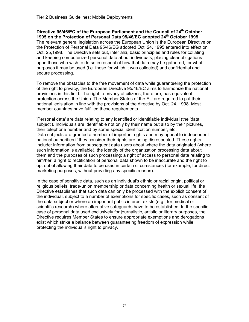Directive 95/46/EC of the European Parliament and the Council of 24<sup>th</sup> October **1995 on the Protection of Personal Data 95/46/EG adopted 24th October 1995**  The relevant general legislation across the European Union is the European Directive on the Protection of Personal Data 95/46/EG adopted Oct. 24, 1995 entered into effect on Oct. 25,1998. The Directive sets out, inter alia, basic principles and rules for collating and keeping computerized personal data about individuals, placing clear obligations upon those who wish to do so in respect of how that data may be gathered, for what purposes it may be used (i.e. those for which it was collected) and confidential and secure processing.

To remove the obstacles to the free movement of data while guaranteeing the protection of the right to privacy, the European Directive 95/46/EC aims to harmonize the national provisions in this field. The right to privacy of citizens, therefore, has equivalent protection across the Union. The Member States of the EU are required to put their national legislation in line with the provisions of the directive by Oct. 24, 1998. Most member countries have fulfilled these requirements.

'Personal data' are data relating to any identified or identifiable individual (the 'data subject'). Individuals are identifiable not only by their name but also by their pictures, their telephone number and by some special identification number, etc. Data subjects are granted a number of important rights and may appeal to independent national authorities if they consider their rights are being disrespected. These rights include: information from subsequent data users about where the data originated (where such information is available), the identity of the organization processing data about them and the purposes of such processing; a right of access to personal data relating to him/her; a right to rectification of personal data shown to be inaccurate and the right to opt out of allowing their data to be used in certain circumstances (for example, for direct marketing purposes, without providing any specific reason).

In the case of sensitive data, such as an individual's ethnic or racial origin, political or religious beliefs, trade-union membership or data concerning health or sexual life, the Directive establishes that such data can only be processed with the explicit consent of the individual, subject to a number of exemptions for specific cases, such as consent of the data subject or where an important public interest exists (e.g., for medical or scientific research) where alternative safeguards have to be established. In the specific case of personal data used exclusively for journalistic, artistic or literary purposes, the Directive requires Member States to ensure appropriate exemptions and derogations exist which strike a balance between guaranteeing freedom of expression while protecting the individual's right to privacy.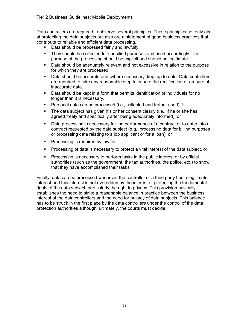Data controllers are required to observe several principles. These principles not only aim at protecting the data subjects but also are a statement of good business practices that contribute to reliable and efficient data processing.

- Data should be processed fairly and lawfully.
- They should be collected for specified purposes and used accordingly. The purpose of the processing should be explicit and should be legitimate.
- Data should be adequately relevant and not excessive in relation to the purpose for which they are processed.
- Data should be accurate and, where necessary, kept up to date. Data controllers are required to take any reasonable step to ensure the rectification or erasure of inaccurate data.
- Data should be kept in a form that permits identification of individuals for no longer than it is necessary.
- Personal data can be processed (i.e., collected and further used) if:
- The data subject has given his or her consent clearly (i.e., if he or she has agreed freely and specifically after being adequately informed), or
- Data processing is necessary for the performance of a contract or to enter into a contract requested by the data subject (e.g., processing data for billing purposes or processing data relating to a job applicant or for a loan), or
- **Processing is required by law, or**
- Processing of data is necessary to protect a vital interest of the data subject, or
- Processing is necessary to perform tasks in the public interest or by official authorities (such as the government, the tax authorities, the police, etc.) to show that they have accomplished their tasks.

Finally, data can be processed whenever the controller or a third party has a legitimate interest and this interest is not overridden by the interest of protecting the fundamental rights of the data subject, particularly the right to privacy. This provision basically establishes the need to strike a reasonable balance in practice between the business interest of the data controllers and the need for privacy of data subjects. This balance has to be struck in the first place by the data controllers under the control of the data protection authorities although, ultimately, the courts must decide.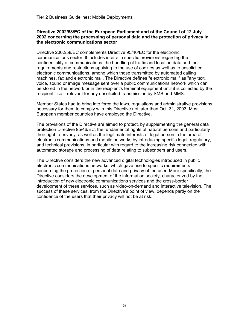#### **Directive 2002/58/EC of the European Parliament and of the Council of 12 July 2002 concerning the processing of personal data and the protection of privacy in the electronic communications sector**

Directive 2002/58/EC complements Directive 95/46/EC for the electronic communications sector. It includes inter alia specific provisions regarding the confidentiality of communications, the handling of traffic and location data and the requirements and restrictions applying to the use of cookies as well as to unsolicited electronic communications, among which those transmitted by automated calling machines, fax and electronic mail. The Directive defines "electronic mail" as "any text, voice, sound or image message sent over a public communications network which can be stored in the network or in the recipient's terminal equipment until it is collected by the recipient," so it relevant for any unsolicited transmission by SMS and MMS.

Member States had to bring into force the laws, regulations and administrative provisions necessary for them to comply with this Directive not later than Oct. 31, 2003. Most European member countries have employed the Directive.

The provisions of the Directive are aimed to protect, by supplementing the general data protection Directive 95/46/EC, the fundamental rights of natural persons and particularly their right to privacy, as well as the legitimate interests of legal person in the area of electronic communications and mobile networks by introducing specific legal, regulatory, and technical provisions, in particular with regard to the increasing risk connected with automated storage and processing of data relating to subscribers and users.

The Directive considers the new advanced digital technologies introduced in public electronic communications networks, which gave rise to specific requirements concerning the protection of personal data and privacy of the user. More specifically, the Directive considers the development of the information society, characterized by the introduction of new electronic communications services and the cross-border development of these services, such as video-on-demand and interactive television. The success of these services, from the Directive's point of view, depends partly on the confidence of the users that their privacy will not be at risk.